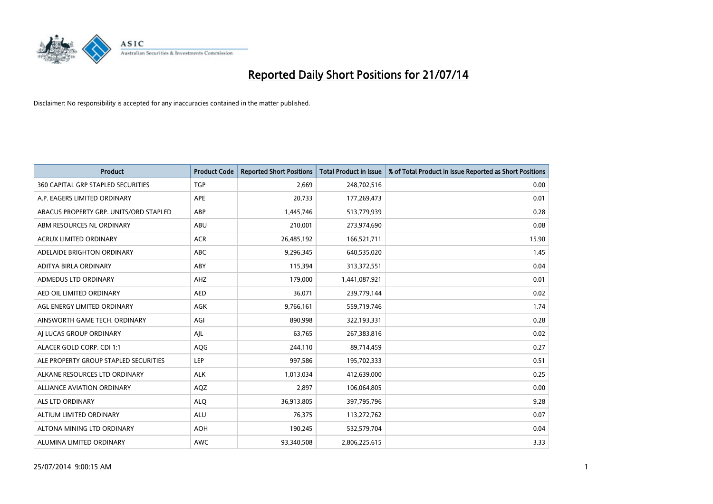

| <b>Product</b>                            | <b>Product Code</b> | <b>Reported Short Positions</b> | <b>Total Product in Issue</b> | % of Total Product in Issue Reported as Short Positions |
|-------------------------------------------|---------------------|---------------------------------|-------------------------------|---------------------------------------------------------|
| <b>360 CAPITAL GRP STAPLED SECURITIES</b> | <b>TGP</b>          | 2,669                           | 248,702,516                   | 0.00                                                    |
| A.P. EAGERS LIMITED ORDINARY              | APE                 | 20,733                          | 177,269,473                   | 0.01                                                    |
| ABACUS PROPERTY GRP. UNITS/ORD STAPLED    | ABP                 | 1,445,746                       | 513,779,939                   | 0.28                                                    |
| ABM RESOURCES NL ORDINARY                 | ABU                 | 210,001                         | 273,974,690                   | 0.08                                                    |
| <b>ACRUX LIMITED ORDINARY</b>             | <b>ACR</b>          | 26,485,192                      | 166,521,711                   | 15.90                                                   |
| ADELAIDE BRIGHTON ORDINARY                | <b>ABC</b>          | 9,296,345                       | 640,535,020                   | 1.45                                                    |
| ADITYA BIRLA ORDINARY                     | ABY                 | 115,394                         | 313,372,551                   | 0.04                                                    |
| ADMEDUS LTD ORDINARY                      | AHZ                 | 179,000                         | 1,441,087,921                 | 0.01                                                    |
| AED OIL LIMITED ORDINARY                  | <b>AED</b>          | 36,071                          | 239,779,144                   | 0.02                                                    |
| AGL ENERGY LIMITED ORDINARY               | <b>AGK</b>          | 9,766,161                       | 559,719,746                   | 1.74                                                    |
| AINSWORTH GAME TECH. ORDINARY             | AGI                 | 890,998                         | 322,193,331                   | 0.28                                                    |
| AI LUCAS GROUP ORDINARY                   | AJL                 | 63,765                          | 267,383,816                   | 0.02                                                    |
| ALACER GOLD CORP. CDI 1:1                 | AQG                 | 244,110                         | 89,714,459                    | 0.27                                                    |
| ALE PROPERTY GROUP STAPLED SECURITIES     | LEP                 | 997,586                         | 195,702,333                   | 0.51                                                    |
| ALKANE RESOURCES LTD ORDINARY             | <b>ALK</b>          | 1,013,034                       | 412,639,000                   | 0.25                                                    |
| ALLIANCE AVIATION ORDINARY                | AQZ                 | 2,897                           | 106,064,805                   | 0.00                                                    |
| ALS LTD ORDINARY                          | <b>ALQ</b>          | 36,913,805                      | 397,795,796                   | 9.28                                                    |
| ALTIUM LIMITED ORDINARY                   | ALU                 | 76,375                          | 113,272,762                   | 0.07                                                    |
| ALTONA MINING LTD ORDINARY                | <b>AOH</b>          | 190,245                         | 532,579,704                   | 0.04                                                    |
| ALUMINA LIMITED ORDINARY                  | <b>AWC</b>          | 93,340,508                      | 2,806,225,615                 | 3.33                                                    |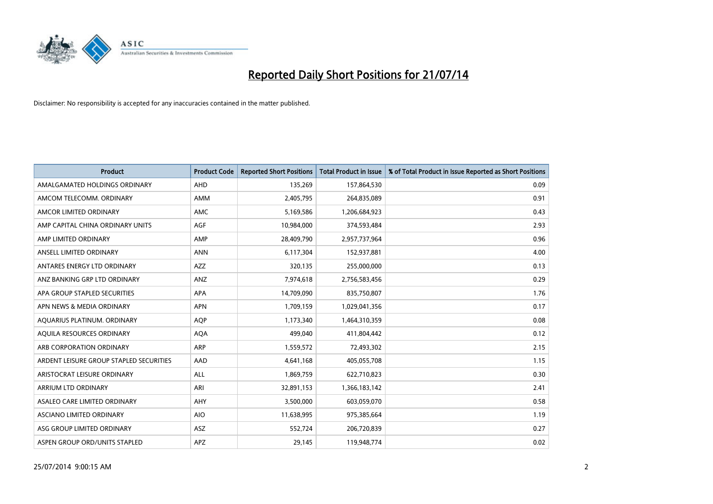

| <b>Product</b>                          | <b>Product Code</b> | <b>Reported Short Positions</b> | <b>Total Product in Issue</b> | % of Total Product in Issue Reported as Short Positions |
|-----------------------------------------|---------------------|---------------------------------|-------------------------------|---------------------------------------------------------|
| AMALGAMATED HOLDINGS ORDINARY           | AHD                 | 135,269                         | 157,864,530                   | 0.09                                                    |
| AMCOM TELECOMM. ORDINARY                | AMM                 | 2,405,795                       | 264,835,089                   | 0.91                                                    |
| AMCOR LIMITED ORDINARY                  | AMC                 | 5,169,586                       | 1,206,684,923                 | 0.43                                                    |
| AMP CAPITAL CHINA ORDINARY UNITS        | AGF                 | 10,984,000                      | 374,593,484                   | 2.93                                                    |
| AMP LIMITED ORDINARY                    | AMP                 | 28,409,790                      | 2,957,737,964                 | 0.96                                                    |
| ANSELL LIMITED ORDINARY                 | <b>ANN</b>          | 6,117,304                       | 152,937,881                   | 4.00                                                    |
| ANTARES ENERGY LTD ORDINARY             | AZZ                 | 320,135                         | 255,000,000                   | 0.13                                                    |
| ANZ BANKING GRP LTD ORDINARY            | ANZ                 | 7,974,618                       | 2,756,583,456                 | 0.29                                                    |
| APA GROUP STAPLED SECURITIES            | <b>APA</b>          | 14,709,090                      | 835,750,807                   | 1.76                                                    |
| APN NEWS & MEDIA ORDINARY               | <b>APN</b>          | 1,709,159                       | 1,029,041,356                 | 0.17                                                    |
| AQUARIUS PLATINUM. ORDINARY             | <b>AOP</b>          | 1,173,340                       | 1,464,310,359                 | 0.08                                                    |
| AQUILA RESOURCES ORDINARY               | <b>AQA</b>          | 499,040                         | 411,804,442                   | 0.12                                                    |
| ARB CORPORATION ORDINARY                | ARP                 | 1,559,572                       | 72,493,302                    | 2.15                                                    |
| ARDENT LEISURE GROUP STAPLED SECURITIES | AAD                 | 4,641,168                       | 405,055,708                   | 1.15                                                    |
| ARISTOCRAT LEISURE ORDINARY             | <b>ALL</b>          | 1,869,759                       | 622,710,823                   | 0.30                                                    |
| ARRIUM LTD ORDINARY                     | ARI                 | 32,891,153                      | 1,366,183,142                 | 2.41                                                    |
| ASALEO CARE LIMITED ORDINARY            | AHY                 | 3,500,000                       | 603,059,070                   | 0.58                                                    |
| ASCIANO LIMITED ORDINARY                | <b>AIO</b>          | 11,638,995                      | 975,385,664                   | 1.19                                                    |
| ASG GROUP LIMITED ORDINARY              | ASZ                 | 552,724                         | 206,720,839                   | 0.27                                                    |
| ASPEN GROUP ORD/UNITS STAPLED           | APZ                 | 29,145                          | 119,948,774                   | 0.02                                                    |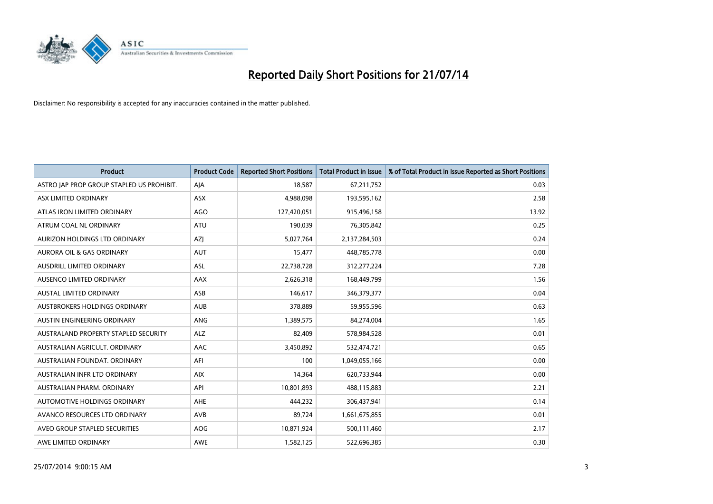

| <b>Product</b>                            | <b>Product Code</b> | <b>Reported Short Positions</b> | <b>Total Product in Issue</b> | % of Total Product in Issue Reported as Short Positions |
|-------------------------------------------|---------------------|---------------------------------|-------------------------------|---------------------------------------------------------|
| ASTRO JAP PROP GROUP STAPLED US PROHIBIT. | AJA                 | 18,587                          | 67,211,752                    | 0.03                                                    |
| ASX LIMITED ORDINARY                      | ASX                 | 4,988,098                       | 193,595,162                   | 2.58                                                    |
| ATLAS IRON LIMITED ORDINARY               | AGO                 | 127,420,051                     | 915,496,158                   | 13.92                                                   |
| ATRUM COAL NL ORDINARY                    | ATU                 | 190,039                         | 76,305,842                    | 0.25                                                    |
| AURIZON HOLDINGS LTD ORDINARY             | <b>AZI</b>          | 5,027,764                       | 2,137,284,503                 | 0.24                                                    |
| <b>AURORA OIL &amp; GAS ORDINARY</b>      | <b>AUT</b>          | 15,477                          | 448,785,778                   | 0.00                                                    |
| AUSDRILL LIMITED ORDINARY                 | ASL                 | 22,738,728                      | 312,277,224                   | 7.28                                                    |
| AUSENCO LIMITED ORDINARY                  | AAX                 | 2,626,318                       | 168,449,799                   | 1.56                                                    |
| <b>AUSTAL LIMITED ORDINARY</b>            | ASB                 | 146,617                         | 346,379,377                   | 0.04                                                    |
| AUSTBROKERS HOLDINGS ORDINARY             | <b>AUB</b>          | 378,889                         | 59,955,596                    | 0.63                                                    |
| AUSTIN ENGINEERING ORDINARY               | ANG                 | 1,389,575                       | 84,274,004                    | 1.65                                                    |
| AUSTRALAND PROPERTY STAPLED SECURITY      | <b>ALZ</b>          | 82,409                          | 578,984,528                   | 0.01                                                    |
| AUSTRALIAN AGRICULT. ORDINARY             | AAC                 | 3,450,892                       | 532,474,721                   | 0.65                                                    |
| AUSTRALIAN FOUNDAT, ORDINARY              | AFI                 | 100                             | 1,049,055,166                 | 0.00                                                    |
| AUSTRALIAN INFR LTD ORDINARY              | <b>AIX</b>          | 14,364                          | 620,733,944                   | 0.00                                                    |
| AUSTRALIAN PHARM. ORDINARY                | API                 | 10,801,893                      | 488,115,883                   | 2.21                                                    |
| AUTOMOTIVE HOLDINGS ORDINARY              | AHE                 | 444,232                         | 306,437,941                   | 0.14                                                    |
| AVANCO RESOURCES LTD ORDINARY             | AVB                 | 89,724                          | 1,661,675,855                 | 0.01                                                    |
| AVEO GROUP STAPLED SECURITIES             | <b>AOG</b>          | 10,871,924                      | 500,111,460                   | 2.17                                                    |
| AWE LIMITED ORDINARY                      | AWE                 | 1,582,125                       | 522,696,385                   | 0.30                                                    |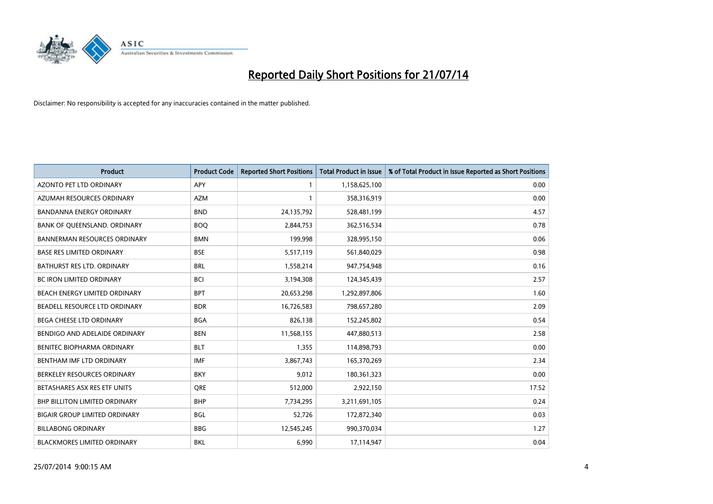

| <b>Product</b>                       | <b>Product Code</b> | <b>Reported Short Positions</b> | Total Product in Issue | % of Total Product in Issue Reported as Short Positions |
|--------------------------------------|---------------------|---------------------------------|------------------------|---------------------------------------------------------|
| AZONTO PET LTD ORDINARY              | <b>APY</b>          | 1                               | 1,158,625,100          | 0.00                                                    |
| AZUMAH RESOURCES ORDINARY            | <b>AZM</b>          | $\mathbf{1}$                    | 358,316,919            | 0.00                                                    |
| BANDANNA ENERGY ORDINARY             | <b>BND</b>          | 24,135,792                      | 528,481,199            | 4.57                                                    |
| BANK OF QUEENSLAND. ORDINARY         | <b>BOQ</b>          | 2,844,753                       | 362,516,534            | 0.78                                                    |
| <b>BANNERMAN RESOURCES ORDINARY</b>  | <b>BMN</b>          | 199,998                         | 328,995,150            | 0.06                                                    |
| <b>BASE RES LIMITED ORDINARY</b>     | <b>BSE</b>          | 5,517,119                       | 561,840,029            | 0.98                                                    |
| BATHURST RES LTD. ORDINARY           | <b>BRL</b>          | 1,558,214                       | 947,754,948            | 0.16                                                    |
| BC IRON LIMITED ORDINARY             | <b>BCI</b>          | 3,194,308                       | 124,345,439            | 2.57                                                    |
| <b>BEACH ENERGY LIMITED ORDINARY</b> | <b>BPT</b>          | 20,653,298                      | 1,292,897,806          | 1.60                                                    |
| BEADELL RESOURCE LTD ORDINARY        | <b>BDR</b>          | 16,726,583                      | 798,657,280            | 2.09                                                    |
| BEGA CHEESE LTD ORDINARY             | <b>BGA</b>          | 826,138                         | 152,245,802            | 0.54                                                    |
| BENDIGO AND ADELAIDE ORDINARY        | <b>BEN</b>          | 11,568,155                      | 447,880,513            | 2.58                                                    |
| BENITEC BIOPHARMA ORDINARY           | <b>BLT</b>          | 1,355                           | 114,898,793            | 0.00                                                    |
| BENTHAM IMF LTD ORDINARY             | <b>IMF</b>          | 3,867,743                       | 165,370,269            | 2.34                                                    |
| BERKELEY RESOURCES ORDINARY          | <b>BKY</b>          | 9,012                           | 180,361,323            | 0.00                                                    |
| BETASHARES ASX RES ETF UNITS         | <b>ORE</b>          | 512,000                         | 2,922,150              | 17.52                                                   |
| BHP BILLITON LIMITED ORDINARY        | <b>BHP</b>          | 7,734,295                       | 3,211,691,105          | 0.24                                                    |
| <b>BIGAIR GROUP LIMITED ORDINARY</b> | <b>BGL</b>          | 52,726                          | 172,872,340            | 0.03                                                    |
| <b>BILLABONG ORDINARY</b>            | <b>BBG</b>          | 12,545,245                      | 990,370,034            | 1.27                                                    |
| <b>BLACKMORES LIMITED ORDINARY</b>   | <b>BKL</b>          | 6,990                           | 17,114,947             | 0.04                                                    |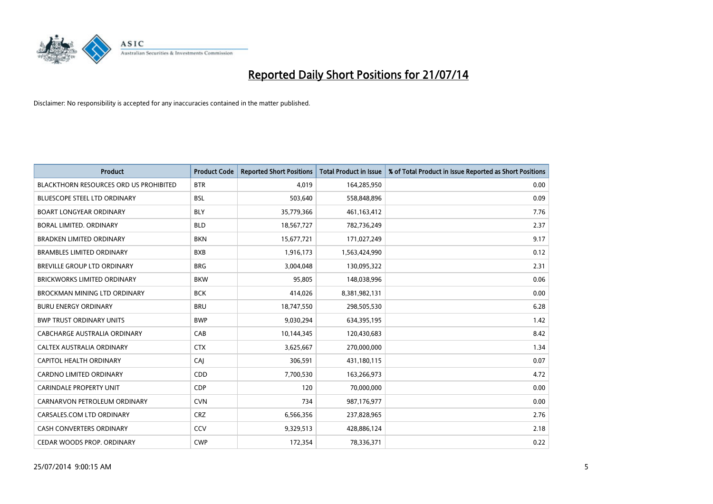

| <b>Product</b>                                | <b>Product Code</b> | <b>Reported Short Positions</b> | <b>Total Product in Issue</b> | % of Total Product in Issue Reported as Short Positions |
|-----------------------------------------------|---------------------|---------------------------------|-------------------------------|---------------------------------------------------------|
| <b>BLACKTHORN RESOURCES ORD US PROHIBITED</b> | <b>BTR</b>          | 4,019                           | 164,285,950                   | 0.00                                                    |
| <b>BLUESCOPE STEEL LTD ORDINARY</b>           | <b>BSL</b>          | 503,640                         | 558,848,896                   | 0.09                                                    |
| <b>BOART LONGYEAR ORDINARY</b>                | <b>BLY</b>          | 35,779,366                      | 461,163,412                   | 7.76                                                    |
| BORAL LIMITED. ORDINARY                       | <b>BLD</b>          | 18,567,727                      | 782,736,249                   | 2.37                                                    |
| <b>BRADKEN LIMITED ORDINARY</b>               | <b>BKN</b>          | 15,677,721                      | 171,027,249                   | 9.17                                                    |
| <b>BRAMBLES LIMITED ORDINARY</b>              | <b>BXB</b>          | 1,916,173                       | 1,563,424,990                 | 0.12                                                    |
| BREVILLE GROUP LTD ORDINARY                   | <b>BRG</b>          | 3,004,048                       | 130,095,322                   | 2.31                                                    |
| BRICKWORKS LIMITED ORDINARY                   | <b>BKW</b>          | 95,805                          | 148,038,996                   | 0.06                                                    |
| <b>BROCKMAN MINING LTD ORDINARY</b>           | <b>BCK</b>          | 414,026                         | 8,381,982,131                 | 0.00                                                    |
| <b>BURU ENERGY ORDINARY</b>                   | <b>BRU</b>          | 18,747,550                      | 298,505,530                   | 6.28                                                    |
| <b>BWP TRUST ORDINARY UNITS</b>               | <b>BWP</b>          | 9,030,294                       | 634,395,195                   | 1.42                                                    |
| CABCHARGE AUSTRALIA ORDINARY                  | CAB                 | 10,144,345                      | 120,430,683                   | 8.42                                                    |
| CALTEX AUSTRALIA ORDINARY                     | <b>CTX</b>          | 3,625,667                       | 270,000,000                   | 1.34                                                    |
| <b>CAPITOL HEALTH ORDINARY</b>                | CAJ                 | 306,591                         | 431,180,115                   | 0.07                                                    |
| <b>CARDNO LIMITED ORDINARY</b>                | CDD                 | 7,700,530                       | 163,266,973                   | 4.72                                                    |
| <b>CARINDALE PROPERTY UNIT</b>                | <b>CDP</b>          | 120                             | 70,000,000                    | 0.00                                                    |
| CARNARVON PETROLEUM ORDINARY                  | <b>CVN</b>          | 734                             | 987,176,977                   | 0.00                                                    |
| CARSALES.COM LTD ORDINARY                     | <b>CRZ</b>          | 6,566,356                       | 237,828,965                   | 2.76                                                    |
| <b>CASH CONVERTERS ORDINARY</b>               | CCV                 | 9,329,513                       | 428,886,124                   | 2.18                                                    |
| CEDAR WOODS PROP. ORDINARY                    | <b>CWP</b>          | 172,354                         | 78,336,371                    | 0.22                                                    |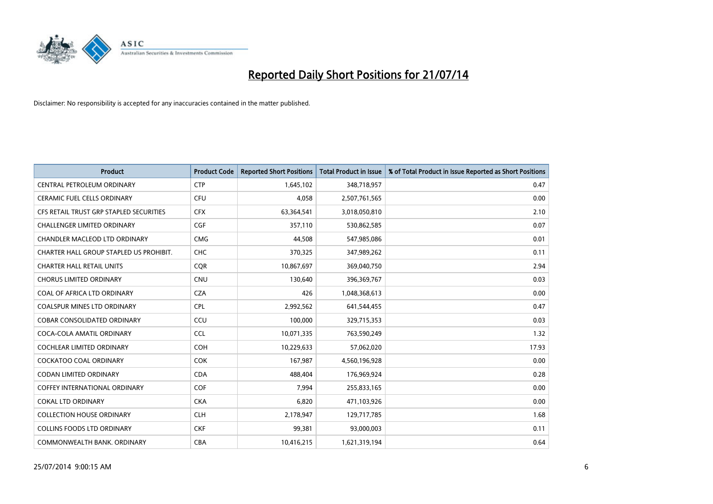

| <b>Product</b>                          | <b>Product Code</b> | <b>Reported Short Positions</b> | <b>Total Product in Issue</b> | % of Total Product in Issue Reported as Short Positions |
|-----------------------------------------|---------------------|---------------------------------|-------------------------------|---------------------------------------------------------|
| CENTRAL PETROLEUM ORDINARY              | <b>CTP</b>          | 1,645,102                       | 348,718,957                   | 0.47                                                    |
| CERAMIC FUEL CELLS ORDINARY             | <b>CFU</b>          | 4,058                           | 2,507,761,565                 | 0.00                                                    |
| CFS RETAIL TRUST GRP STAPLED SECURITIES | <b>CFX</b>          | 63,364,541                      | 3,018,050,810                 | 2.10                                                    |
| <b>CHALLENGER LIMITED ORDINARY</b>      | <b>CGF</b>          | 357,110                         | 530,862,585                   | 0.07                                                    |
| CHANDLER MACLEOD LTD ORDINARY           | <b>CMG</b>          | 44,508                          | 547,985,086                   | 0.01                                                    |
| CHARTER HALL GROUP STAPLED US PROHIBIT. | <b>CHC</b>          | 370,325                         | 347,989,262                   | 0.11                                                    |
| <b>CHARTER HALL RETAIL UNITS</b>        | <b>CQR</b>          | 10,867,697                      | 369,040,750                   | 2.94                                                    |
| <b>CHORUS LIMITED ORDINARY</b>          | <b>CNU</b>          | 130,640                         | 396,369,767                   | 0.03                                                    |
| COAL OF AFRICA LTD ORDINARY             | <b>CZA</b>          | 426                             | 1,048,368,613                 | 0.00                                                    |
| <b>COALSPUR MINES LTD ORDINARY</b>      | <b>CPL</b>          | 2,992,562                       | 641,544,455                   | 0.47                                                    |
| <b>COBAR CONSOLIDATED ORDINARY</b>      | CCU                 | 100,000                         | 329,715,353                   | 0.03                                                    |
| COCA-COLA AMATIL ORDINARY               | <b>CCL</b>          | 10,071,335                      | 763,590,249                   | 1.32                                                    |
| <b>COCHLEAR LIMITED ORDINARY</b>        | <b>COH</b>          | 10,229,633                      | 57,062,020                    | 17.93                                                   |
| <b>COCKATOO COAL ORDINARY</b>           | COK                 | 167,987                         | 4,560,196,928                 | 0.00                                                    |
| <b>CODAN LIMITED ORDINARY</b>           | <b>CDA</b>          | 488,404                         | 176,969,924                   | 0.28                                                    |
| <b>COFFEY INTERNATIONAL ORDINARY</b>    | <b>COF</b>          | 7,994                           | 255,833,165                   | 0.00                                                    |
| <b>COKAL LTD ORDINARY</b>               | <b>CKA</b>          | 6,820                           | 471,103,926                   | 0.00                                                    |
| <b>COLLECTION HOUSE ORDINARY</b>        | <b>CLH</b>          | 2,178,947                       | 129,717,785                   | 1.68                                                    |
| <b>COLLINS FOODS LTD ORDINARY</b>       | <b>CKF</b>          | 99,381                          | 93,000,003                    | 0.11                                                    |
| COMMONWEALTH BANK, ORDINARY             | <b>CBA</b>          | 10,416,215                      | 1,621,319,194                 | 0.64                                                    |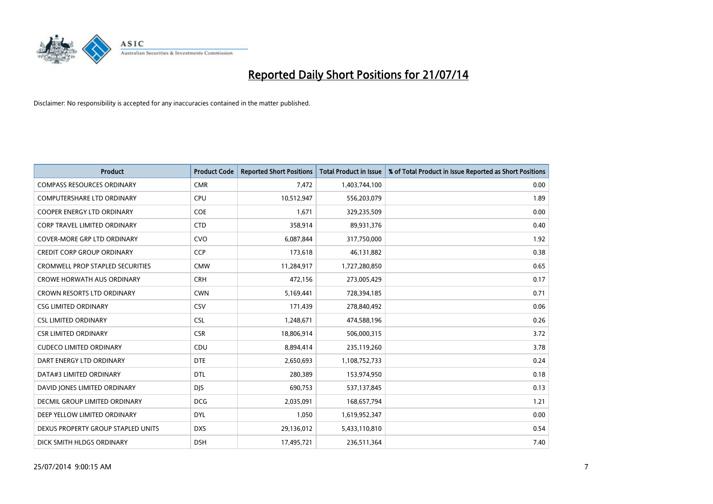

| <b>Product</b>                          | <b>Product Code</b> | <b>Reported Short Positions</b> | <b>Total Product in Issue</b> | % of Total Product in Issue Reported as Short Positions |
|-----------------------------------------|---------------------|---------------------------------|-------------------------------|---------------------------------------------------------|
| <b>COMPASS RESOURCES ORDINARY</b>       | <b>CMR</b>          | 7,472                           | 1,403,744,100                 | 0.00                                                    |
| COMPUTERSHARE LTD ORDINARY              | <b>CPU</b>          | 10,512,947                      | 556,203,079                   | 1.89                                                    |
| COOPER ENERGY LTD ORDINARY              | <b>COE</b>          | 1,671                           | 329,235,509                   | 0.00                                                    |
| <b>CORP TRAVEL LIMITED ORDINARY</b>     | <b>CTD</b>          | 358,914                         | 89,931,376                    | 0.40                                                    |
| <b>COVER-MORE GRP LTD ORDINARY</b>      | <b>CVO</b>          | 6,087,844                       | 317,750,000                   | 1.92                                                    |
| <b>CREDIT CORP GROUP ORDINARY</b>       | CCP                 | 173,618                         | 46,131,882                    | 0.38                                                    |
| <b>CROMWELL PROP STAPLED SECURITIES</b> | <b>CMW</b>          | 11,284,917                      | 1,727,280,850                 | 0.65                                                    |
| <b>CROWE HORWATH AUS ORDINARY</b>       | <b>CRH</b>          | 472,156                         | 273,005,429                   | 0.17                                                    |
| <b>CROWN RESORTS LTD ORDINARY</b>       | <b>CWN</b>          | 5,169,441                       | 728,394,185                   | 0.71                                                    |
| <b>CSG LIMITED ORDINARY</b>             | CSV                 | 171,439                         | 278,840,492                   | 0.06                                                    |
| <b>CSL LIMITED ORDINARY</b>             | <b>CSL</b>          | 1,248,671                       | 474,588,196                   | 0.26                                                    |
| <b>CSR LIMITED ORDINARY</b>             | <b>CSR</b>          | 18,806,914                      | 506,000,315                   | 3.72                                                    |
| <b>CUDECO LIMITED ORDINARY</b>          | CDU                 | 8,894,414                       | 235,119,260                   | 3.78                                                    |
| DART ENERGY LTD ORDINARY                | <b>DTE</b>          | 2,650,693                       | 1,108,752,733                 | 0.24                                                    |
| DATA#3 LIMITED ORDINARY                 | <b>DTL</b>          | 280,389                         | 153,974,950                   | 0.18                                                    |
| DAVID JONES LIMITED ORDINARY            | <b>DJS</b>          | 690,753                         | 537,137,845                   | 0.13                                                    |
| DECMIL GROUP LIMITED ORDINARY           | <b>DCG</b>          | 2,035,091                       | 168,657,794                   | 1.21                                                    |
| DEEP YELLOW LIMITED ORDINARY            | <b>DYL</b>          | 1,050                           | 1,619,952,347                 | 0.00                                                    |
| DEXUS PROPERTY GROUP STAPLED UNITS      | <b>DXS</b>          | 29,136,012                      | 5,433,110,810                 | 0.54                                                    |
| DICK SMITH HLDGS ORDINARY               | <b>DSH</b>          | 17,495,721                      | 236,511,364                   | 7.40                                                    |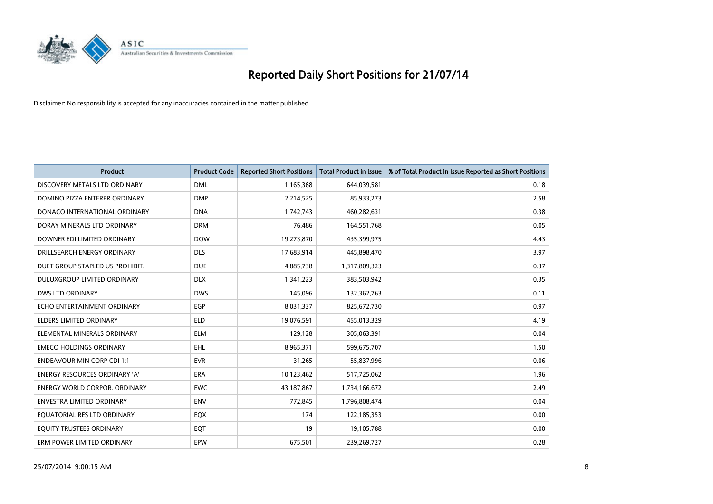

| <b>Product</b>                       | <b>Product Code</b> | <b>Reported Short Positions</b> | <b>Total Product in Issue</b> | % of Total Product in Issue Reported as Short Positions |
|--------------------------------------|---------------------|---------------------------------|-------------------------------|---------------------------------------------------------|
| DISCOVERY METALS LTD ORDINARY        | <b>DML</b>          | 1,165,368                       | 644,039,581                   | 0.18                                                    |
| DOMINO PIZZA ENTERPR ORDINARY        | <b>DMP</b>          | 2,214,525                       | 85,933,273                    | 2.58                                                    |
| DONACO INTERNATIONAL ORDINARY        | <b>DNA</b>          | 1,742,743                       | 460,282,631                   | 0.38                                                    |
| DORAY MINERALS LTD ORDINARY          | <b>DRM</b>          | 76,486                          | 164,551,768                   | 0.05                                                    |
| DOWNER EDI LIMITED ORDINARY          | <b>DOW</b>          | 19,273,870                      | 435,399,975                   | 4.43                                                    |
| DRILLSEARCH ENERGY ORDINARY          | <b>DLS</b>          | 17,683,914                      | 445,898,470                   | 3.97                                                    |
| DUET GROUP STAPLED US PROHIBIT.      | <b>DUE</b>          | 4,885,738                       | 1,317,809,323                 | 0.37                                                    |
| DULUXGROUP LIMITED ORDINARY          | <b>DLX</b>          | 1,341,223                       | 383,503,942                   | 0.35                                                    |
| <b>DWS LTD ORDINARY</b>              | <b>DWS</b>          | 145,096                         | 132,362,763                   | 0.11                                                    |
| ECHO ENTERTAINMENT ORDINARY          | EGP                 | 8,031,337                       | 825,672,730                   | 0.97                                                    |
| <b>ELDERS LIMITED ORDINARY</b>       | <b>ELD</b>          | 19,076,591                      | 455,013,329                   | 4.19                                                    |
| ELEMENTAL MINERALS ORDINARY          | <b>ELM</b>          | 129,128                         | 305,063,391                   | 0.04                                                    |
| <b>EMECO HOLDINGS ORDINARY</b>       | <b>EHL</b>          | 8,965,371                       | 599,675,707                   | 1.50                                                    |
| <b>ENDEAVOUR MIN CORP CDI 1:1</b>    | <b>EVR</b>          | 31,265                          | 55,837,996                    | 0.06                                                    |
| <b>ENERGY RESOURCES ORDINARY 'A'</b> | <b>ERA</b>          | 10,123,462                      | 517,725,062                   | 1.96                                                    |
| <b>ENERGY WORLD CORPOR, ORDINARY</b> | <b>EWC</b>          | 43,187,867                      | 1,734,166,672                 | 2.49                                                    |
| <b>ENVESTRA LIMITED ORDINARY</b>     | <b>ENV</b>          | 772,845                         | 1,796,808,474                 | 0.04                                                    |
| EQUATORIAL RES LTD ORDINARY          | EQX                 | 174                             | 122,185,353                   | 0.00                                                    |
| EQUITY TRUSTEES ORDINARY             | EQT                 | 19                              | 19,105,788                    | 0.00                                                    |
| ERM POWER LIMITED ORDINARY           | EPW                 | 675,501                         | 239,269,727                   | 0.28                                                    |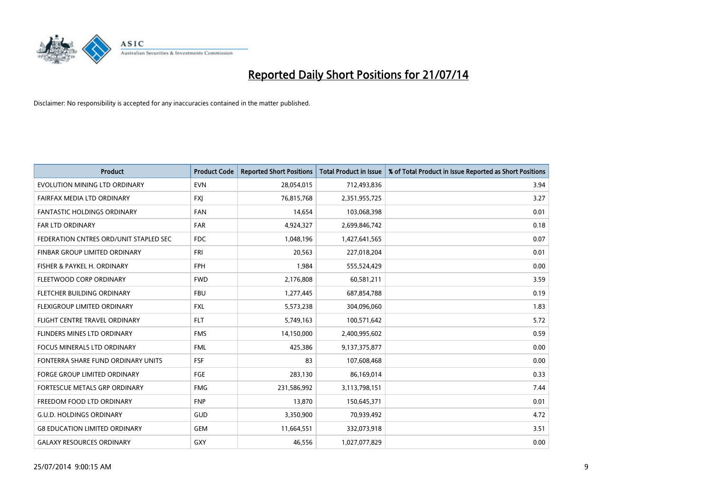

| <b>Product</b>                         | <b>Product Code</b> | <b>Reported Short Positions</b> | <b>Total Product in Issue</b> | % of Total Product in Issue Reported as Short Positions |
|----------------------------------------|---------------------|---------------------------------|-------------------------------|---------------------------------------------------------|
| EVOLUTION MINING LTD ORDINARY          | <b>EVN</b>          | 28,054,015                      | 712,493,836                   | 3.94                                                    |
| FAIRFAX MEDIA LTD ORDINARY             | <b>FXI</b>          | 76,815,768                      | 2,351,955,725                 | 3.27                                                    |
| FANTASTIC HOLDINGS ORDINARY            | <b>FAN</b>          | 14,654                          | 103,068,398                   | 0.01                                                    |
| FAR LTD ORDINARY                       | <b>FAR</b>          | 4,924,327                       | 2,699,846,742                 | 0.18                                                    |
| FEDERATION CNTRES ORD/UNIT STAPLED SEC | <b>FDC</b>          | 1,048,196                       | 1,427,641,565                 | 0.07                                                    |
| FINBAR GROUP LIMITED ORDINARY          | <b>FRI</b>          | 20,563                          | 227,018,204                   | 0.01                                                    |
| FISHER & PAYKEL H. ORDINARY            | <b>FPH</b>          | 1,984                           | 555,524,429                   | 0.00                                                    |
| FLEETWOOD CORP ORDINARY                | <b>FWD</b>          | 2,176,808                       | 60,581,211                    | 3.59                                                    |
| FLETCHER BUILDING ORDINARY             | <b>FBU</b>          | 1,277,445                       | 687,854,788                   | 0.19                                                    |
| FLEXIGROUP LIMITED ORDINARY            | <b>FXL</b>          | 5,573,238                       | 304,096,060                   | 1.83                                                    |
| FLIGHT CENTRE TRAVEL ORDINARY          | <b>FLT</b>          | 5,749,163                       | 100,571,642                   | 5.72                                                    |
| FLINDERS MINES LTD ORDINARY            | <b>FMS</b>          | 14,150,000                      | 2,400,995,602                 | 0.59                                                    |
| FOCUS MINERALS LTD ORDINARY            | <b>FML</b>          | 425,386                         | 9,137,375,877                 | 0.00                                                    |
| FONTERRA SHARE FUND ORDINARY UNITS     | <b>FSF</b>          | 83                              | 107,608,468                   | 0.00                                                    |
| FORGE GROUP LIMITED ORDINARY           | <b>FGE</b>          | 283,130                         | 86,169,014                    | 0.33                                                    |
| FORTESCUE METALS GRP ORDINARY          | <b>FMG</b>          | 231,586,992                     | 3,113,798,151                 | 7.44                                                    |
| FREEDOM FOOD LTD ORDINARY              | <b>FNP</b>          | 13,870                          | 150,645,371                   | 0.01                                                    |
| <b>G.U.D. HOLDINGS ORDINARY</b>        | GUD                 | 3,350,900                       | 70,939,492                    | 4.72                                                    |
| <b>G8 EDUCATION LIMITED ORDINARY</b>   | <b>GEM</b>          | 11,664,551                      | 332,073,918                   | 3.51                                                    |
| <b>GALAXY RESOURCES ORDINARY</b>       | GXY                 | 46,556                          | 1,027,077,829                 | 0.00                                                    |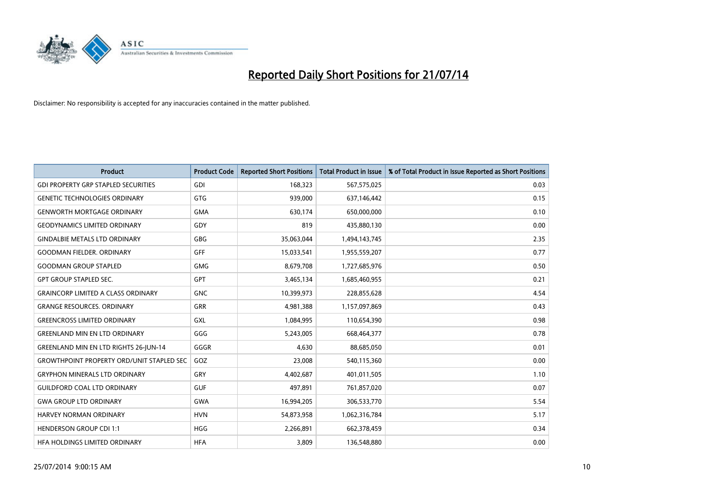

| <b>Product</b>                                   | <b>Product Code</b> | <b>Reported Short Positions</b> | <b>Total Product in Issue</b> | % of Total Product in Issue Reported as Short Positions |
|--------------------------------------------------|---------------------|---------------------------------|-------------------------------|---------------------------------------------------------|
| <b>GDI PROPERTY GRP STAPLED SECURITIES</b>       | GDI                 | 168,323                         | 567,575,025                   | 0.03                                                    |
| <b>GENETIC TECHNOLOGIES ORDINARY</b>             | <b>GTG</b>          | 939,000                         | 637,146,442                   | 0.15                                                    |
| <b>GENWORTH MORTGAGE ORDINARY</b>                | <b>GMA</b>          | 630,174                         | 650,000,000                   | 0.10                                                    |
| <b>GEODYNAMICS LIMITED ORDINARY</b>              | GDY                 | 819                             | 435,880,130                   | 0.00                                                    |
| <b>GINDALBIE METALS LTD ORDINARY</b>             | GBG                 | 35,063,044                      | 1,494,143,745                 | 2.35                                                    |
| <b>GOODMAN FIELDER, ORDINARY</b>                 | <b>GFF</b>          | 15,033,541                      | 1,955,559,207                 | 0.77                                                    |
| <b>GOODMAN GROUP STAPLED</b>                     | <b>GMG</b>          | 8,679,708                       | 1,727,685,976                 | 0.50                                                    |
| <b>GPT GROUP STAPLED SEC.</b>                    | <b>GPT</b>          | 3,465,134                       | 1,685,460,955                 | 0.21                                                    |
| <b>GRAINCORP LIMITED A CLASS ORDINARY</b>        | <b>GNC</b>          | 10,399,973                      | 228,855,628                   | 4.54                                                    |
| <b>GRANGE RESOURCES, ORDINARY</b>                | <b>GRR</b>          | 4,981,388                       | 1,157,097,869                 | 0.43                                                    |
| <b>GREENCROSS LIMITED ORDINARY</b>               | <b>GXL</b>          | 1,084,995                       | 110,654,390                   | 0.98                                                    |
| <b>GREENLAND MIN EN LTD ORDINARY</b>             | GGG                 | 5,243,005                       | 668,464,377                   | 0.78                                                    |
| <b>GREENLAND MIN EN LTD RIGHTS 26-JUN-14</b>     | GGGR                | 4,630                           | 88,685,050                    | 0.01                                                    |
| <b>GROWTHPOINT PROPERTY ORD/UNIT STAPLED SEC</b> | GOZ                 | 23,008                          | 540,115,360                   | 0.00                                                    |
| <b>GRYPHON MINERALS LTD ORDINARY</b>             | GRY                 | 4,402,687                       | 401,011,505                   | 1.10                                                    |
| <b>GUILDFORD COAL LTD ORDINARY</b>               | <b>GUF</b>          | 497,891                         | 761,857,020                   | 0.07                                                    |
| <b>GWA GROUP LTD ORDINARY</b>                    | <b>GWA</b>          | 16,994,205                      | 306,533,770                   | 5.54                                                    |
| <b>HARVEY NORMAN ORDINARY</b>                    | <b>HVN</b>          | 54,873,958                      | 1,062,316,784                 | 5.17                                                    |
| <b>HENDERSON GROUP CDI 1:1</b>                   | <b>HGG</b>          | 2,266,891                       | 662,378,459                   | 0.34                                                    |
| HFA HOLDINGS LIMITED ORDINARY                    | <b>HFA</b>          | 3,809                           | 136,548,880                   | 0.00                                                    |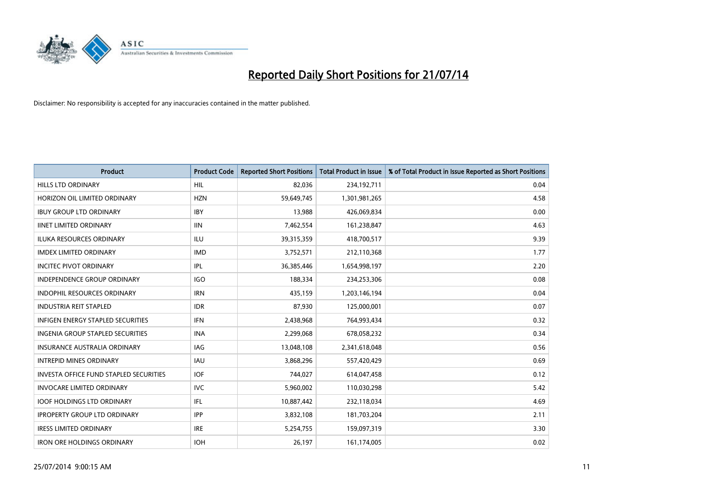

| <b>Product</b>                                | <b>Product Code</b> | <b>Reported Short Positions</b> | <b>Total Product in Issue</b> | % of Total Product in Issue Reported as Short Positions |
|-----------------------------------------------|---------------------|---------------------------------|-------------------------------|---------------------------------------------------------|
| <b>HILLS LTD ORDINARY</b>                     | <b>HIL</b>          | 82,036                          | 234, 192, 711                 | 0.04                                                    |
| HORIZON OIL LIMITED ORDINARY                  | <b>HZN</b>          | 59,649,745                      | 1,301,981,265                 | 4.58                                                    |
| <b>IBUY GROUP LTD ORDINARY</b>                | <b>IBY</b>          | 13,988                          | 426,069,834                   | 0.00                                                    |
| <b>IINET LIMITED ORDINARY</b>                 | <b>IIN</b>          | 7,462,554                       | 161,238,847                   | 4.63                                                    |
| <b>ILUKA RESOURCES ORDINARY</b>               | <b>ILU</b>          | 39,315,359                      | 418,700,517                   | 9.39                                                    |
| <b>IMDEX LIMITED ORDINARY</b>                 | <b>IMD</b>          | 3,752,571                       | 212,110,368                   | 1.77                                                    |
| <b>INCITEC PIVOT ORDINARY</b>                 | IPL                 | 36,385,446                      | 1,654,998,197                 | 2.20                                                    |
| <b>INDEPENDENCE GROUP ORDINARY</b>            | <b>IGO</b>          | 188,334                         | 234,253,306                   | 0.08                                                    |
| INDOPHIL RESOURCES ORDINARY                   | <b>IRN</b>          | 435,159                         | 1,203,146,194                 | 0.04                                                    |
| <b>INDUSTRIA REIT STAPLED</b>                 | <b>IDR</b>          | 87,930                          | 125,000,001                   | 0.07                                                    |
| INFIGEN ENERGY STAPLED SECURITIES             | <b>IFN</b>          | 2,438,968                       | 764,993,434                   | 0.32                                                    |
| <b>INGENIA GROUP STAPLED SECURITIES</b>       | <b>INA</b>          | 2,299,068                       | 678,058,232                   | 0.34                                                    |
| INSURANCE AUSTRALIA ORDINARY                  | IAG                 | 13,048,108                      | 2,341,618,048                 | 0.56                                                    |
| <b>INTREPID MINES ORDINARY</b>                | <b>IAU</b>          | 3,868,296                       | 557,420,429                   | 0.69                                                    |
| <b>INVESTA OFFICE FUND STAPLED SECURITIES</b> | <b>IOF</b>          | 744,027                         | 614,047,458                   | 0.12                                                    |
| <b>INVOCARE LIMITED ORDINARY</b>              | <b>IVC</b>          | 5,960,002                       | 110,030,298                   | 5.42                                                    |
| <b>IOOF HOLDINGS LTD ORDINARY</b>             | IFL                 | 10,887,442                      | 232,118,034                   | 4.69                                                    |
| <b>IPROPERTY GROUP LTD ORDINARY</b>           | <b>IPP</b>          | 3,832,108                       | 181,703,204                   | 2.11                                                    |
| <b>IRESS LIMITED ORDINARY</b>                 | <b>IRE</b>          | 5,254,755                       | 159,097,319                   | 3.30                                                    |
| <b>IRON ORE HOLDINGS ORDINARY</b>             | <b>IOH</b>          | 26,197                          | 161,174,005                   | 0.02                                                    |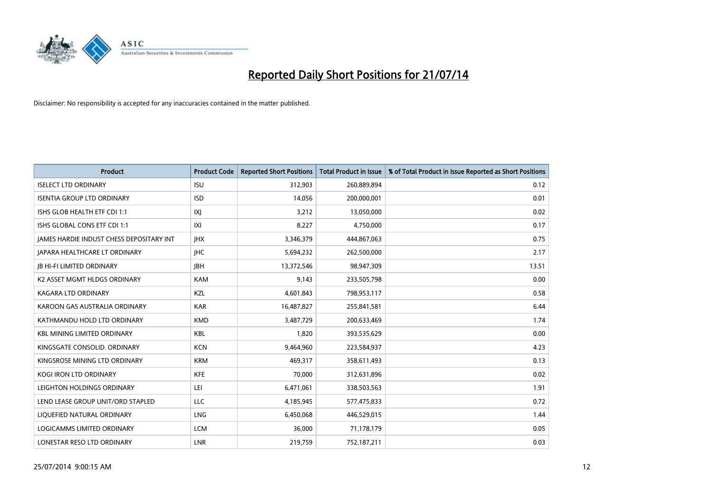

| <b>Product</b>                           | <b>Product Code</b> | <b>Reported Short Positions</b> | <b>Total Product in Issue</b> | % of Total Product in Issue Reported as Short Positions |
|------------------------------------------|---------------------|---------------------------------|-------------------------------|---------------------------------------------------------|
| <b>ISELECT LTD ORDINARY</b>              | <b>ISU</b>          | 312,903                         | 260,889,894                   | 0.12                                                    |
| <b>ISENTIA GROUP LTD ORDINARY</b>        | <b>ISD</b>          | 14,056                          | 200,000,001                   | 0.01                                                    |
| ISHS GLOB HEALTH ETF CDI 1:1             | IXJ                 | 3,212                           | 13,050,000                    | 0.02                                                    |
| ISHS GLOBAL CONS ETF CDI 1:1             | IXI                 | 8,227                           | 4,750,000                     | 0.17                                                    |
| JAMES HARDIE INDUST CHESS DEPOSITARY INT | <b>IHX</b>          | 3,346,379                       | 444,867,063                   | 0.75                                                    |
| <b>JAPARA HEALTHCARE LT ORDINARY</b>     | <b>IHC</b>          | 5,694,232                       | 262,500,000                   | 2.17                                                    |
| <b>JB HI-FI LIMITED ORDINARY</b>         | <b>JBH</b>          | 13,372,546                      | 98,947,309                    | 13.51                                                   |
| K2 ASSET MGMT HLDGS ORDINARY             | <b>KAM</b>          | 9,143                           | 233,505,798                   | 0.00                                                    |
| <b>KAGARA LTD ORDINARY</b>               | KZL                 | 4,601,843                       | 798,953,117                   | 0.58                                                    |
| KAROON GAS AUSTRALIA ORDINARY            | <b>KAR</b>          | 16,487,827                      | 255,841,581                   | 6.44                                                    |
| KATHMANDU HOLD LTD ORDINARY              | <b>KMD</b>          | 3,487,729                       | 200,633,469                   | 1.74                                                    |
| <b>KBL MINING LIMITED ORDINARY</b>       | <b>KBL</b>          | 1,820                           | 393,535,629                   | 0.00                                                    |
| KINGSGATE CONSOLID. ORDINARY             | <b>KCN</b>          | 9,464,960                       | 223,584,937                   | 4.23                                                    |
| KINGSROSE MINING LTD ORDINARY            | <b>KRM</b>          | 469,317                         | 358,611,493                   | 0.13                                                    |
| <b>KOGI IRON LTD ORDINARY</b>            | <b>KFE</b>          | 70,000                          | 312,631,896                   | 0.02                                                    |
| LEIGHTON HOLDINGS ORDINARY               | LEI                 | 6,471,061                       | 338,503,563                   | 1.91                                                    |
| LEND LEASE GROUP UNIT/ORD STAPLED        | LLC                 | 4,185,945                       | 577,475,833                   | 0.72                                                    |
| LIQUEFIED NATURAL ORDINARY               | <b>LNG</b>          | 6,450,068                       | 446,529,015                   | 1.44                                                    |
| <b>LOGICAMMS LIMITED ORDINARY</b>        | <b>LCM</b>          | 36,000                          | 71,178,179                    | 0.05                                                    |
| LONESTAR RESO LTD ORDINARY               | <b>LNR</b>          | 219,759                         | 752,187,211                   | 0.03                                                    |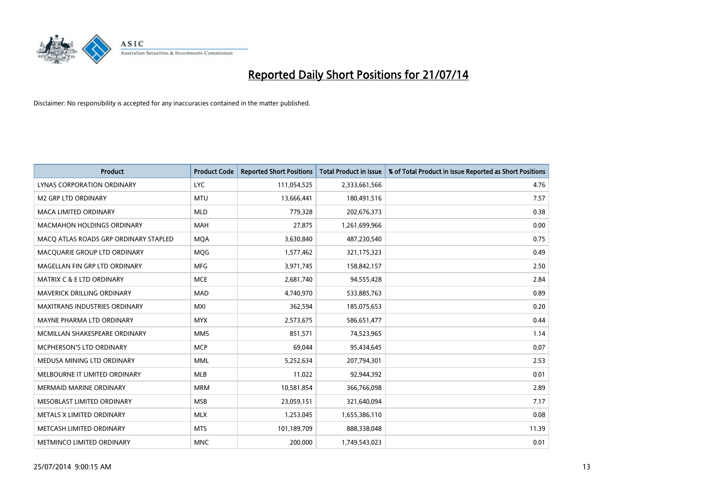

| <b>Product</b>                        | <b>Product Code</b> | <b>Reported Short Positions</b> | <b>Total Product in Issue</b> | % of Total Product in Issue Reported as Short Positions |
|---------------------------------------|---------------------|---------------------------------|-------------------------------|---------------------------------------------------------|
| LYNAS CORPORATION ORDINARY            | <b>LYC</b>          | 111,054,525                     | 2,333,661,566                 | 4.76                                                    |
| <b>M2 GRP LTD ORDINARY</b>            | <b>MTU</b>          | 13,666,441                      | 180,491,516                   | 7.57                                                    |
| <b>MACA LIMITED ORDINARY</b>          | <b>MLD</b>          | 779,328                         | 202,676,373                   | 0.38                                                    |
| MACMAHON HOLDINGS ORDINARY            | <b>MAH</b>          | 27,875                          | 1,261,699,966                 | 0.00                                                    |
| MACO ATLAS ROADS GRP ORDINARY STAPLED | <b>MOA</b>          | 3,630,840                       | 487,230,540                   | 0.75                                                    |
| MACQUARIE GROUP LTD ORDINARY          | MQG                 | 1,577,462                       | 321,175,323                   | 0.49                                                    |
| MAGELLAN FIN GRP LTD ORDINARY         | MFG                 | 3,971,745                       | 158,842,157                   | 2.50                                                    |
| <b>MATRIX C &amp; E LTD ORDINARY</b>  | <b>MCE</b>          | 2,681,740                       | 94,555,428                    | 2.84                                                    |
| <b>MAVERICK DRILLING ORDINARY</b>     | <b>MAD</b>          | 4,740,970                       | 533,885,763                   | 0.89                                                    |
| <b>MAXITRANS INDUSTRIES ORDINARY</b>  | <b>MXI</b>          | 362,594                         | 185,075,653                   | 0.20                                                    |
| MAYNE PHARMA LTD ORDINARY             | <b>MYX</b>          | 2,573,675                       | 586,651,477                   | 0.44                                                    |
| MCMILLAN SHAKESPEARE ORDINARY         | <b>MMS</b>          | 851,571                         | 74,523,965                    | 1.14                                                    |
| MCPHERSON'S LTD ORDINARY              | <b>MCP</b>          | 69,044                          | 95,434,645                    | 0.07                                                    |
| MEDUSA MINING LTD ORDINARY            | <b>MML</b>          | 5,252,634                       | 207,794,301                   | 2.53                                                    |
| MELBOURNE IT LIMITED ORDINARY         | <b>MLB</b>          | 11,022                          | 92,944,392                    | 0.01                                                    |
| MERMAID MARINE ORDINARY               | <b>MRM</b>          | 10,581,854                      | 366,766,098                   | 2.89                                                    |
| MESOBLAST LIMITED ORDINARY            | <b>MSB</b>          | 23,059,151                      | 321,640,094                   | 7.17                                                    |
| METALS X LIMITED ORDINARY             | <b>MLX</b>          | 1,253,045                       | 1,655,386,110                 | 0.08                                                    |
| METCASH LIMITED ORDINARY              | <b>MTS</b>          | 101,189,709                     | 888,338,048                   | 11.39                                                   |
| METMINCO LIMITED ORDINARY             | <b>MNC</b>          | 200,000                         | 1,749,543,023                 | 0.01                                                    |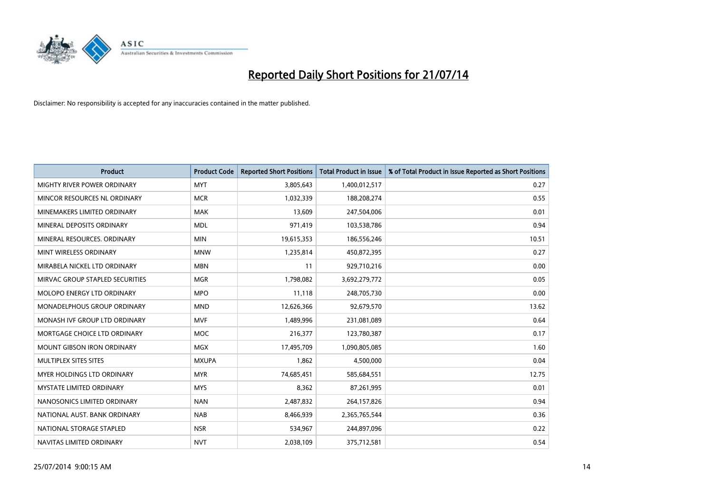

| <b>Product</b>                    | <b>Product Code</b> | <b>Reported Short Positions</b> | <b>Total Product in Issue</b> | % of Total Product in Issue Reported as Short Positions |
|-----------------------------------|---------------------|---------------------------------|-------------------------------|---------------------------------------------------------|
| MIGHTY RIVER POWER ORDINARY       | <b>MYT</b>          | 3,805,643                       | 1,400,012,517                 | 0.27                                                    |
| MINCOR RESOURCES NL ORDINARY      | <b>MCR</b>          | 1,032,339                       | 188,208,274                   | 0.55                                                    |
| MINEMAKERS LIMITED ORDINARY       | <b>MAK</b>          | 13,609                          | 247,504,006                   | 0.01                                                    |
| MINERAL DEPOSITS ORDINARY         | <b>MDL</b>          | 971,419                         | 103,538,786                   | 0.94                                                    |
| MINERAL RESOURCES, ORDINARY       | <b>MIN</b>          | 19,615,353                      | 186,556,246                   | 10.51                                                   |
| MINT WIRELESS ORDINARY            | <b>MNW</b>          | 1,235,814                       | 450,872,395                   | 0.27                                                    |
| MIRABELA NICKEL LTD ORDINARY      | <b>MBN</b>          | 11                              | 929,710,216                   | 0.00                                                    |
| MIRVAC GROUP STAPLED SECURITIES   | <b>MGR</b>          | 1,798,082                       | 3,692,279,772                 | 0.05                                                    |
| MOLOPO ENERGY LTD ORDINARY        | <b>MPO</b>          | 11,118                          | 248,705,730                   | 0.00                                                    |
| MONADELPHOUS GROUP ORDINARY       | <b>MND</b>          | 12,626,366                      | 92,679,570                    | 13.62                                                   |
| MONASH IVF GROUP LTD ORDINARY     | <b>MVF</b>          | 1,489,996                       | 231,081,089                   | 0.64                                                    |
| MORTGAGE CHOICE LTD ORDINARY      | <b>MOC</b>          | 216,377                         | 123,780,387                   | 0.17                                                    |
| <b>MOUNT GIBSON IRON ORDINARY</b> | <b>MGX</b>          | 17,495,709                      | 1,090,805,085                 | 1.60                                                    |
| MULTIPLEX SITES SITES             | <b>MXUPA</b>        | 1,862                           | 4,500,000                     | 0.04                                                    |
| MYER HOLDINGS LTD ORDINARY        | <b>MYR</b>          | 74,685,451                      | 585,684,551                   | 12.75                                                   |
| MYSTATE LIMITED ORDINARY          | <b>MYS</b>          | 8,362                           | 87,261,995                    | 0.01                                                    |
| NANOSONICS LIMITED ORDINARY       | <b>NAN</b>          | 2,487,832                       | 264,157,826                   | 0.94                                                    |
| NATIONAL AUST, BANK ORDINARY      | <b>NAB</b>          | 8,466,939                       | 2,365,765,544                 | 0.36                                                    |
| NATIONAL STORAGE STAPLED          | <b>NSR</b>          | 534,967                         | 244,897,096                   | 0.22                                                    |
| NAVITAS LIMITED ORDINARY          | <b>NVT</b>          | 2,038,109                       | 375,712,581                   | 0.54                                                    |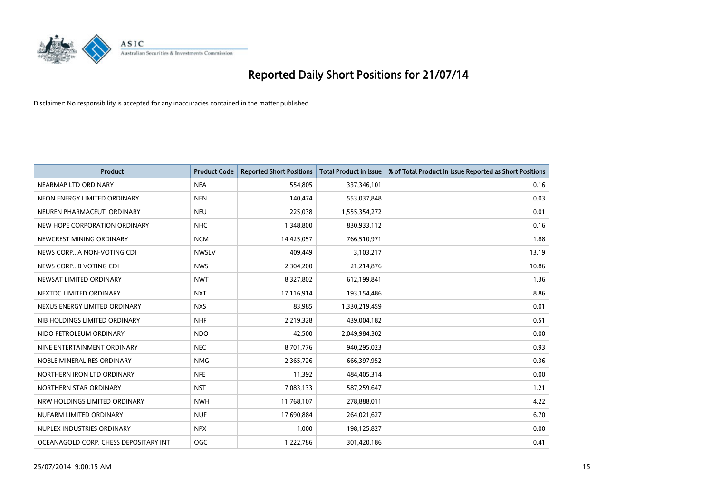

| <b>Product</b>                        | <b>Product Code</b> | <b>Reported Short Positions</b> | <b>Total Product in Issue</b> | % of Total Product in Issue Reported as Short Positions |
|---------------------------------------|---------------------|---------------------------------|-------------------------------|---------------------------------------------------------|
| NEARMAP LTD ORDINARY                  | <b>NEA</b>          | 554,805                         | 337,346,101                   | 0.16                                                    |
| NEON ENERGY LIMITED ORDINARY          | <b>NEN</b>          | 140,474                         | 553,037,848                   | 0.03                                                    |
| NEUREN PHARMACEUT, ORDINARY           | <b>NEU</b>          | 225,038                         | 1,555,354,272                 | 0.01                                                    |
| NEW HOPE CORPORATION ORDINARY         | <b>NHC</b>          | 1,348,800                       | 830,933,112                   | 0.16                                                    |
| NEWCREST MINING ORDINARY              | <b>NCM</b>          | 14,425,057                      | 766,510,971                   | 1.88                                                    |
| NEWS CORP A NON-VOTING CDI            | <b>NWSLV</b>        | 409,449                         | 3,103,217                     | 13.19                                                   |
| NEWS CORP B VOTING CDI                | <b>NWS</b>          | 2,304,200                       | 21,214,876                    | 10.86                                                   |
| NEWSAT LIMITED ORDINARY               | <b>NWT</b>          | 8,327,802                       | 612,199,841                   | 1.36                                                    |
| NEXTDC LIMITED ORDINARY               | <b>NXT</b>          | 17,116,914                      | 193,154,486                   | 8.86                                                    |
| NEXUS ENERGY LIMITED ORDINARY         | <b>NXS</b>          | 83,985                          | 1,330,219,459                 | 0.01                                                    |
| NIB HOLDINGS LIMITED ORDINARY         | <b>NHF</b>          | 2,219,328                       | 439,004,182                   | 0.51                                                    |
| NIDO PETROLEUM ORDINARY               | <b>NDO</b>          | 42,500                          | 2,049,984,302                 | 0.00                                                    |
| NINE ENTERTAINMENT ORDINARY           | <b>NEC</b>          | 8,701,776                       | 940,295,023                   | 0.93                                                    |
| NOBLE MINERAL RES ORDINARY            | <b>NMG</b>          | 2,365,726                       | 666,397,952                   | 0.36                                                    |
| NORTHERN IRON LTD ORDINARY            | <b>NFE</b>          | 11,392                          | 484,405,314                   | 0.00                                                    |
| NORTHERN STAR ORDINARY                | <b>NST</b>          | 7,083,133                       | 587,259,647                   | 1.21                                                    |
| NRW HOLDINGS LIMITED ORDINARY         | <b>NWH</b>          | 11,768,107                      | 278,888,011                   | 4.22                                                    |
| NUFARM LIMITED ORDINARY               | <b>NUF</b>          | 17,690,884                      | 264,021,627                   | 6.70                                                    |
| NUPLEX INDUSTRIES ORDINARY            | <b>NPX</b>          | 1,000                           | 198,125,827                   | 0.00                                                    |
| OCEANAGOLD CORP. CHESS DEPOSITARY INT | <b>OGC</b>          | 1,222,786                       | 301,420,186                   | 0.41                                                    |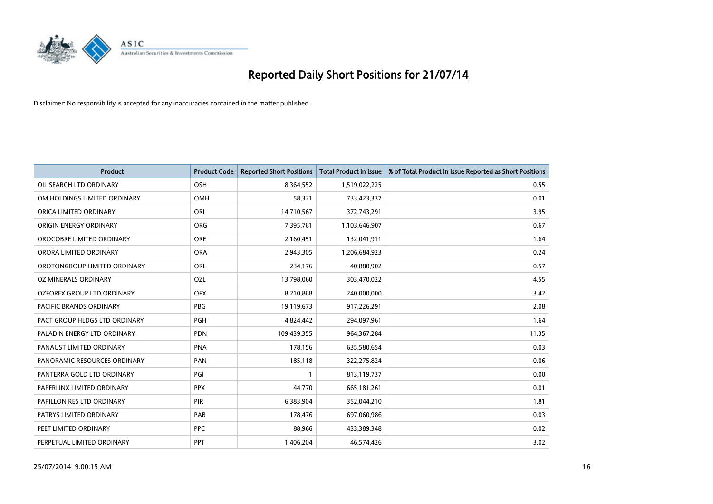

| <b>Product</b>                 | <b>Product Code</b> | <b>Reported Short Positions</b> | <b>Total Product in Issue</b> | % of Total Product in Issue Reported as Short Positions |
|--------------------------------|---------------------|---------------------------------|-------------------------------|---------------------------------------------------------|
| OIL SEARCH LTD ORDINARY        | OSH                 | 8,364,552                       | 1,519,022,225                 | 0.55                                                    |
| OM HOLDINGS LIMITED ORDINARY   | OMH                 | 58,321                          | 733,423,337                   | 0.01                                                    |
| ORICA LIMITED ORDINARY         | ORI                 | 14,710,567                      | 372,743,291                   | 3.95                                                    |
| ORIGIN ENERGY ORDINARY         | <b>ORG</b>          | 7,395,761                       | 1,103,646,907                 | 0.67                                                    |
| OROCOBRE LIMITED ORDINARY      | <b>ORE</b>          | 2,160,451                       | 132,041,911                   | 1.64                                                    |
| ORORA LIMITED ORDINARY         | <b>ORA</b>          | 2,943,305                       | 1,206,684,923                 | 0.24                                                    |
| OROTONGROUP LIMITED ORDINARY   | ORL                 | 234,176                         | 40,880,902                    | 0.57                                                    |
| OZ MINERALS ORDINARY           | OZL                 | 13,798,060                      | 303,470,022                   | 4.55                                                    |
| OZFOREX GROUP LTD ORDINARY     | <b>OFX</b>          | 8,210,868                       | 240,000,000                   | 3.42                                                    |
| <b>PACIFIC BRANDS ORDINARY</b> | <b>PBG</b>          | 19,119,673                      | 917,226,291                   | 2.08                                                    |
| PACT GROUP HLDGS LTD ORDINARY  | PGH                 | 4,824,442                       | 294,097,961                   | 1.64                                                    |
| PALADIN ENERGY LTD ORDINARY    | <b>PDN</b>          | 109,439,355                     | 964, 367, 284                 | 11.35                                                   |
| PANAUST LIMITED ORDINARY       | <b>PNA</b>          | 178,156                         | 635,580,654                   | 0.03                                                    |
| PANORAMIC RESOURCES ORDINARY   | PAN                 | 185,118                         | 322,275,824                   | 0.06                                                    |
| PANTERRA GOLD LTD ORDINARY     | PGI                 | 1                               | 813,119,737                   | 0.00                                                    |
| PAPERLINX LIMITED ORDINARY     | <b>PPX</b>          | 44,770                          | 665, 181, 261                 | 0.01                                                    |
| PAPILLON RES LTD ORDINARY      | PIR                 | 6,383,904                       | 352,044,210                   | 1.81                                                    |
| PATRYS LIMITED ORDINARY        | PAB                 | 178,476                         | 697,060,986                   | 0.03                                                    |
| PEET LIMITED ORDINARY          | <b>PPC</b>          | 88,966                          | 433,389,348                   | 0.02                                                    |
| PERPETUAL LIMITED ORDINARY     | <b>PPT</b>          | 1,406,204                       | 46,574,426                    | 3.02                                                    |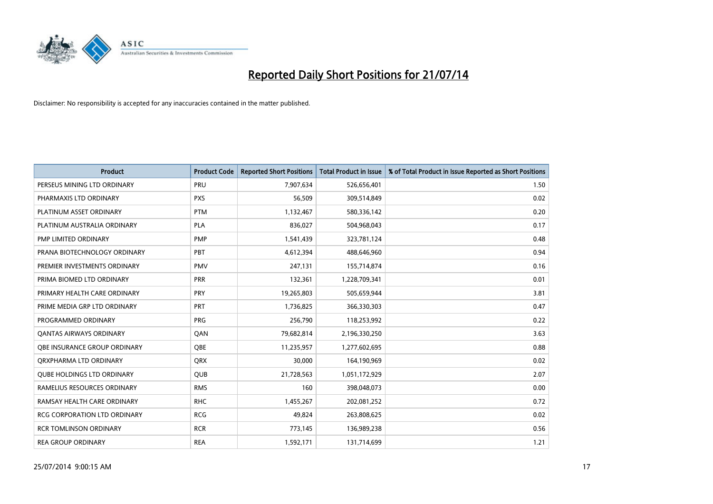

| <b>Product</b>                    | <b>Product Code</b> | <b>Reported Short Positions</b> | <b>Total Product in Issue</b> | % of Total Product in Issue Reported as Short Positions |
|-----------------------------------|---------------------|---------------------------------|-------------------------------|---------------------------------------------------------|
| PERSEUS MINING LTD ORDINARY       | PRU                 | 7,907,634                       | 526,656,401                   | 1.50                                                    |
| PHARMAXIS LTD ORDINARY            | <b>PXS</b>          | 56,509                          | 309,514,849                   | 0.02                                                    |
| PLATINUM ASSET ORDINARY           | <b>PTM</b>          | 1,132,467                       | 580,336,142                   | 0.20                                                    |
| PLATINUM AUSTRALIA ORDINARY       | PLA                 | 836,027                         | 504,968,043                   | 0.17                                                    |
| PMP LIMITED ORDINARY              | <b>PMP</b>          | 1,541,439                       | 323,781,124                   | 0.48                                                    |
| PRANA BIOTECHNOLOGY ORDINARY      | PBT                 | 4,612,394                       | 488,646,960                   | 0.94                                                    |
| PREMIER INVESTMENTS ORDINARY      | <b>PMV</b>          | 247,131                         | 155,714,874                   | 0.16                                                    |
| PRIMA BIOMED LTD ORDINARY         | <b>PRR</b>          | 132,361                         | 1,228,709,341                 | 0.01                                                    |
| PRIMARY HEALTH CARE ORDINARY      | <b>PRY</b>          | 19,265,803                      | 505,659,944                   | 3.81                                                    |
| PRIME MEDIA GRP LTD ORDINARY      | <b>PRT</b>          | 1,736,825                       | 366,330,303                   | 0.47                                                    |
| PROGRAMMED ORDINARY               | <b>PRG</b>          | 256,790                         | 118,253,992                   | 0.22                                                    |
| <b>QANTAS AIRWAYS ORDINARY</b>    | QAN                 | 79,682,814                      | 2,196,330,250                 | 3.63                                                    |
| OBE INSURANCE GROUP ORDINARY      | <b>OBE</b>          | 11,235,957                      | 1,277,602,695                 | 0.88                                                    |
| ORXPHARMA LTD ORDINARY            | <b>QRX</b>          | 30,000                          | 164,190,969                   | 0.02                                                    |
| <b>QUBE HOLDINGS LTD ORDINARY</b> | <b>QUB</b>          | 21,728,563                      | 1,051,172,929                 | 2.07                                                    |
| RAMELIUS RESOURCES ORDINARY       | <b>RMS</b>          | 160                             | 398,048,073                   | 0.00                                                    |
| RAMSAY HEALTH CARE ORDINARY       | <b>RHC</b>          | 1,455,267                       | 202,081,252                   | 0.72                                                    |
| RCG CORPORATION LTD ORDINARY      | <b>RCG</b>          | 49,824                          | 263,808,625                   | 0.02                                                    |
| <b>RCR TOMLINSON ORDINARY</b>     | <b>RCR</b>          | 773,145                         | 136,989,238                   | 0.56                                                    |
| <b>REA GROUP ORDINARY</b>         | <b>REA</b>          | 1,592,171                       | 131,714,699                   | 1.21                                                    |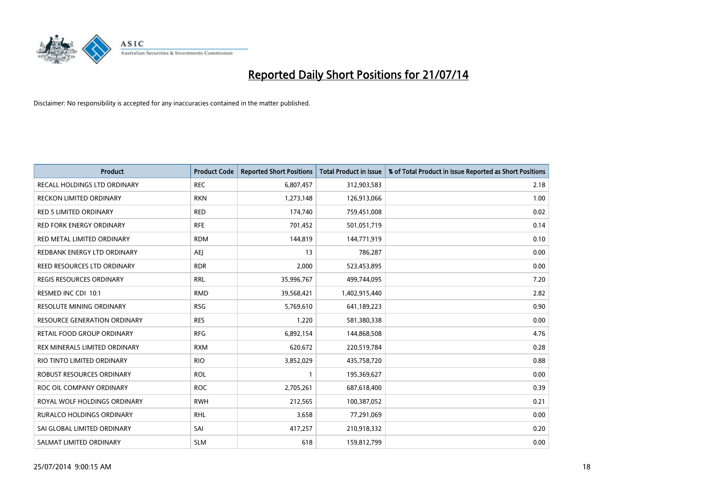

| <b>Product</b>                  | <b>Product Code</b> | <b>Reported Short Positions</b> | <b>Total Product in Issue</b> | % of Total Product in Issue Reported as Short Positions |
|---------------------------------|---------------------|---------------------------------|-------------------------------|---------------------------------------------------------|
| RECALL HOLDINGS LTD ORDINARY    | <b>REC</b>          | 6,807,457                       | 312,903,583                   | 2.18                                                    |
| <b>RECKON LIMITED ORDINARY</b>  | <b>RKN</b>          | 1,273,148                       | 126,913,066                   | 1.00                                                    |
| RED 5 LIMITED ORDINARY          | <b>RED</b>          | 174,740                         | 759,451,008                   | 0.02                                                    |
| RED FORK ENERGY ORDINARY        | <b>RFE</b>          | 701,452                         | 501,051,719                   | 0.14                                                    |
| RED METAL LIMITED ORDINARY      | <b>RDM</b>          | 144,819                         | 144,771,919                   | 0.10                                                    |
| REDBANK ENERGY LTD ORDINARY     | <b>AEJ</b>          | 13                              | 786,287                       | 0.00                                                    |
| REED RESOURCES LTD ORDINARY     | <b>RDR</b>          | 2,000                           | 523,453,895                   | 0.00                                                    |
| REGIS RESOURCES ORDINARY        | <b>RRL</b>          | 35,996,767                      | 499,744,095                   | 7.20                                                    |
| RESMED INC CDI 10:1             | <b>RMD</b>          | 39,568,421                      | 1,402,915,440                 | 2.82                                                    |
| <b>RESOLUTE MINING ORDINARY</b> | <b>RSG</b>          | 5,769,610                       | 641,189,223                   | 0.90                                                    |
| RESOURCE GENERATION ORDINARY    | <b>RES</b>          | 1,220                           | 581,380,338                   | 0.00                                                    |
| RETAIL FOOD GROUP ORDINARY      | <b>RFG</b>          | 6,892,154                       | 144,868,508                   | 4.76                                                    |
| REX MINERALS LIMITED ORDINARY   | <b>RXM</b>          | 620,672                         | 220,519,784                   | 0.28                                                    |
| RIO TINTO LIMITED ORDINARY      | <b>RIO</b>          | 3,852,029                       | 435,758,720                   | 0.88                                                    |
| ROBUST RESOURCES ORDINARY       | <b>ROL</b>          | 1                               | 195,369,627                   | 0.00                                                    |
| ROC OIL COMPANY ORDINARY        | <b>ROC</b>          | 2,705,261                       | 687,618,400                   | 0.39                                                    |
| ROYAL WOLF HOLDINGS ORDINARY    | <b>RWH</b>          | 212,565                         | 100,387,052                   | 0.21                                                    |
| RURALCO HOLDINGS ORDINARY       | <b>RHL</b>          | 3,658                           | 77,291,069                    | 0.00                                                    |
| SAI GLOBAL LIMITED ORDINARY     | SAI                 | 417,257                         | 210,918,332                   | 0.20                                                    |
| SALMAT LIMITED ORDINARY         | <b>SLM</b>          | 618                             | 159,812,799                   | 0.00                                                    |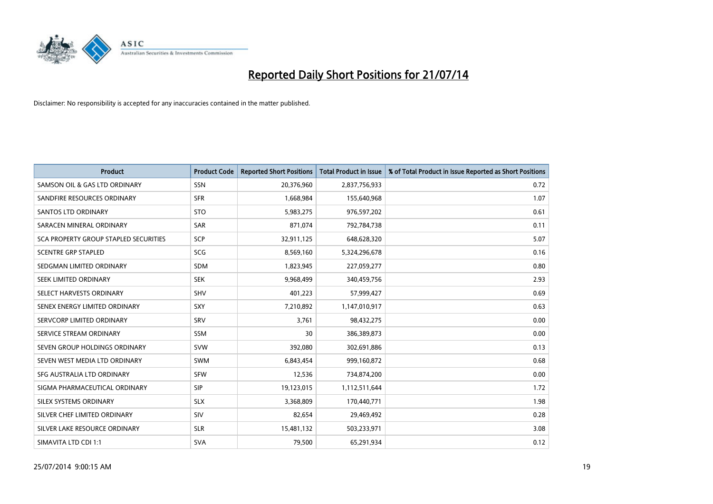

| <b>Product</b>                        | <b>Product Code</b> | <b>Reported Short Positions</b> | <b>Total Product in Issue</b> | % of Total Product in Issue Reported as Short Positions |
|---------------------------------------|---------------------|---------------------------------|-------------------------------|---------------------------------------------------------|
| SAMSON OIL & GAS LTD ORDINARY         | SSN                 | 20,376,960                      | 2,837,756,933                 | 0.72                                                    |
| SANDFIRE RESOURCES ORDINARY           | <b>SFR</b>          | 1,668,984                       | 155,640,968                   | 1.07                                                    |
| SANTOS LTD ORDINARY                   | <b>STO</b>          | 5,983,275                       | 976,597,202                   | 0.61                                                    |
| SARACEN MINERAL ORDINARY              | <b>SAR</b>          | 871,074                         | 792,784,738                   | 0.11                                                    |
| SCA PROPERTY GROUP STAPLED SECURITIES | SCP                 | 32,911,125                      | 648,628,320                   | 5.07                                                    |
| <b>SCENTRE GRP STAPLED</b>            | SCG                 | 8,569,160                       | 5,324,296,678                 | 0.16                                                    |
| SEDGMAN LIMITED ORDINARY              | <b>SDM</b>          | 1,823,945                       | 227,059,277                   | 0.80                                                    |
| SEEK LIMITED ORDINARY                 | <b>SEK</b>          | 9,968,499                       | 340,459,756                   | 2.93                                                    |
| SELECT HARVESTS ORDINARY              | <b>SHV</b>          | 401,223                         | 57,999,427                    | 0.69                                                    |
| SENEX ENERGY LIMITED ORDINARY         | SXY                 | 7,210,892                       | 1,147,010,917                 | 0.63                                                    |
| SERVCORP LIMITED ORDINARY             | SRV                 | 3,761                           | 98,432,275                    | 0.00                                                    |
| SERVICE STREAM ORDINARY               | <b>SSM</b>          | 30                              | 386,389,873                   | 0.00                                                    |
| SEVEN GROUP HOLDINGS ORDINARY         | <b>SVW</b>          | 392,080                         | 302,691,886                   | 0.13                                                    |
| SEVEN WEST MEDIA LTD ORDINARY         | <b>SWM</b>          | 6,843,454                       | 999,160,872                   | 0.68                                                    |
| SFG AUSTRALIA LTD ORDINARY            | <b>SFW</b>          | 12,536                          | 734,874,200                   | 0.00                                                    |
| SIGMA PHARMACEUTICAL ORDINARY         | <b>SIP</b>          | 19,123,015                      | 1,112,511,644                 | 1.72                                                    |
| SILEX SYSTEMS ORDINARY                | <b>SLX</b>          | 3,368,809                       | 170,440,771                   | 1.98                                                    |
| SILVER CHEF LIMITED ORDINARY          | SIV                 | 82.654                          | 29,469,492                    | 0.28                                                    |
| SILVER LAKE RESOURCE ORDINARY         | <b>SLR</b>          | 15,481,132                      | 503,233,971                   | 3.08                                                    |
| SIMAVITA LTD CDI 1:1                  | <b>SVA</b>          | 79,500                          | 65,291,934                    | 0.12                                                    |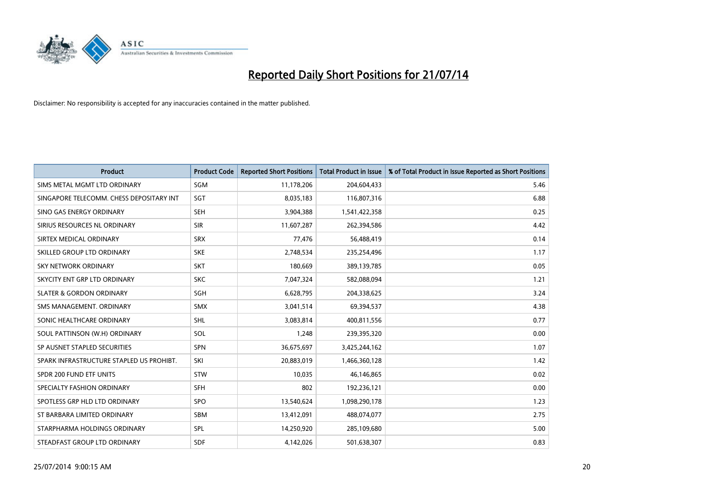

| <b>Product</b>                           | <b>Product Code</b> | <b>Reported Short Positions</b> | <b>Total Product in Issue</b> | % of Total Product in Issue Reported as Short Positions |
|------------------------------------------|---------------------|---------------------------------|-------------------------------|---------------------------------------------------------|
| SIMS METAL MGMT LTD ORDINARY             | SGM                 | 11,178,206                      | 204,604,433                   | 5.46                                                    |
| SINGAPORE TELECOMM. CHESS DEPOSITARY INT | SGT                 | 8,035,183                       | 116,807,316                   | 6.88                                                    |
| SINO GAS ENERGY ORDINARY                 | <b>SEH</b>          | 3,904,388                       | 1,541,422,358                 | 0.25                                                    |
| SIRIUS RESOURCES NL ORDINARY             | <b>SIR</b>          | 11,607,287                      | 262,394,586                   | 4.42                                                    |
| SIRTEX MEDICAL ORDINARY                  | <b>SRX</b>          | 77,476                          | 56,488,419                    | 0.14                                                    |
| SKILLED GROUP LTD ORDINARY               | <b>SKE</b>          | 2,748,534                       | 235,254,496                   | 1.17                                                    |
| <b>SKY NETWORK ORDINARY</b>              | <b>SKT</b>          | 180,669                         | 389,139,785                   | 0.05                                                    |
| SKYCITY ENT GRP LTD ORDINARY             | <b>SKC</b>          | 7,047,324                       | 582,088,094                   | 1.21                                                    |
| <b>SLATER &amp; GORDON ORDINARY</b>      | SGH                 | 6,628,795                       | 204,338,625                   | 3.24                                                    |
| SMS MANAGEMENT, ORDINARY                 | SMX                 | 3,041,514                       | 69,394,537                    | 4.38                                                    |
| SONIC HEALTHCARE ORDINARY                | SHL                 | 3,083,814                       | 400,811,556                   | 0.77                                                    |
| SOUL PATTINSON (W.H) ORDINARY            | <b>SOL</b>          | 1,248                           | 239,395,320                   | 0.00                                                    |
| SP AUSNET STAPLED SECURITIES             | SPN                 | 36,675,697                      | 3,425,244,162                 | 1.07                                                    |
| SPARK INFRASTRUCTURE STAPLED US PROHIBT. | SKI                 | 20,883,019                      | 1,466,360,128                 | 1.42                                                    |
| SPDR 200 FUND ETF UNITS                  | <b>STW</b>          | 10,035                          | 46,146,865                    | 0.02                                                    |
| SPECIALTY FASHION ORDINARY               | <b>SFH</b>          | 802                             | 192,236,121                   | 0.00                                                    |
| SPOTLESS GRP HLD LTD ORDINARY            | <b>SPO</b>          | 13,540,624                      | 1,098,290,178                 | 1.23                                                    |
| ST BARBARA LIMITED ORDINARY              | <b>SBM</b>          | 13,412,091                      | 488,074,077                   | 2.75                                                    |
| STARPHARMA HOLDINGS ORDINARY             | SPL                 | 14,250,920                      | 285,109,680                   | 5.00                                                    |
| STEADFAST GROUP LTD ORDINARY             | <b>SDF</b>          | 4,142,026                       | 501,638,307                   | 0.83                                                    |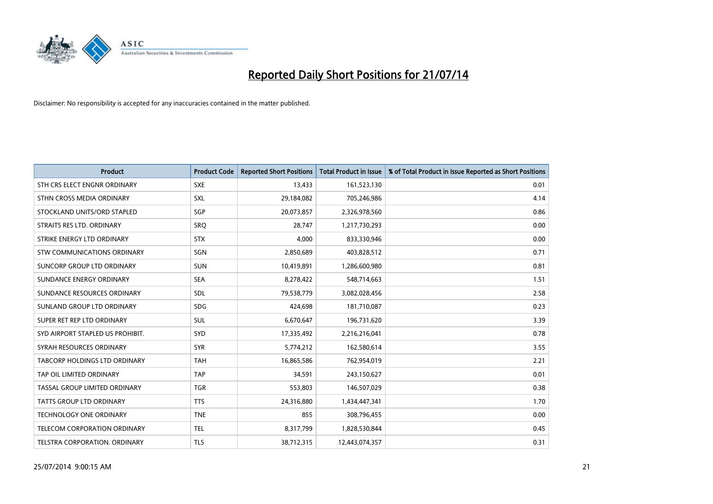

| <b>Product</b>                   | <b>Product Code</b> | <b>Reported Short Positions</b> | <b>Total Product in Issue</b> | % of Total Product in Issue Reported as Short Positions |
|----------------------------------|---------------------|---------------------------------|-------------------------------|---------------------------------------------------------|
| STH CRS ELECT ENGNR ORDINARY     | <b>SXE</b>          | 13,433                          | 161,523,130                   | 0.01                                                    |
| STHN CROSS MEDIA ORDINARY        | <b>SXL</b>          | 29,184,082                      | 705,246,986                   | 4.14                                                    |
| STOCKLAND UNITS/ORD STAPLED      | SGP                 | 20,073,857                      | 2,326,978,560                 | 0.86                                                    |
| STRAITS RES LTD. ORDINARY        | <b>SRQ</b>          | 28,747                          | 1,217,730,293                 | 0.00                                                    |
| STRIKE ENERGY LTD ORDINARY       | <b>STX</b>          | 4,000                           | 833,330,946                   | 0.00                                                    |
| STW COMMUNICATIONS ORDINARY      | SGN                 | 2,850,689                       | 403,828,512                   | 0.71                                                    |
| SUNCORP GROUP LTD ORDINARY       | <b>SUN</b>          | 10,419,891                      | 1,286,600,980                 | 0.81                                                    |
| SUNDANCE ENERGY ORDINARY         | <b>SEA</b>          | 8,278,422                       | 548,714,663                   | 1.51                                                    |
| SUNDANCE RESOURCES ORDINARY      | SDL                 | 79,538,779                      | 3,082,028,456                 | 2.58                                                    |
| SUNLAND GROUP LTD ORDINARY       | <b>SDG</b>          | 424,698                         | 181,710,087                   | 0.23                                                    |
| SUPER RET REP LTD ORDINARY       | SUL                 | 6,670,647                       | 196,731,620                   | 3.39                                                    |
| SYD AIRPORT STAPLED US PROHIBIT. | <b>SYD</b>          | 17,335,492                      | 2,216,216,041                 | 0.78                                                    |
| SYRAH RESOURCES ORDINARY         | <b>SYR</b>          | 5,774,212                       | 162,580,614                   | 3.55                                                    |
| TABCORP HOLDINGS LTD ORDINARY    | <b>TAH</b>          | 16,865,586                      | 762,954,019                   | 2.21                                                    |
| TAP OIL LIMITED ORDINARY         | <b>TAP</b>          | 34,591                          | 243,150,627                   | 0.01                                                    |
| TASSAL GROUP LIMITED ORDINARY    | <b>TGR</b>          | 553,803                         | 146,507,029                   | 0.38                                                    |
| TATTS GROUP LTD ORDINARY         | <b>TTS</b>          | 24,316,880                      | 1,434,447,341                 | 1.70                                                    |
| <b>TECHNOLOGY ONE ORDINARY</b>   | <b>TNE</b>          | 855                             | 308,796,455                   | 0.00                                                    |
| TELECOM CORPORATION ORDINARY     | <b>TEL</b>          | 8,317,799                       | 1,828,530,844                 | 0.45                                                    |
| TELSTRA CORPORATION, ORDINARY    | <b>TLS</b>          | 38,712,315                      | 12,443,074,357                | 0.31                                                    |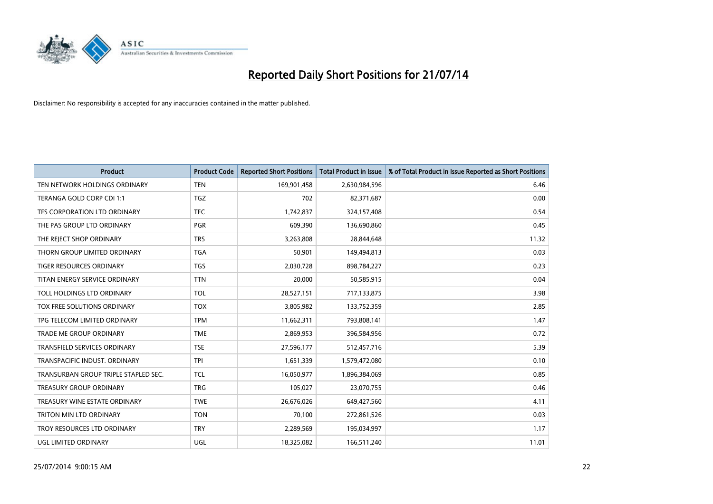

| <b>Product</b>                       | <b>Product Code</b> | <b>Reported Short Positions</b> | <b>Total Product in Issue</b> | % of Total Product in Issue Reported as Short Positions |
|--------------------------------------|---------------------|---------------------------------|-------------------------------|---------------------------------------------------------|
| TEN NETWORK HOLDINGS ORDINARY        | <b>TEN</b>          | 169,901,458                     | 2,630,984,596                 | 6.46                                                    |
| TERANGA GOLD CORP CDI 1:1            | TGZ                 | 702                             | 82,371,687                    | 0.00                                                    |
| TFS CORPORATION LTD ORDINARY         | <b>TFC</b>          | 1,742,837                       | 324,157,408                   | 0.54                                                    |
| THE PAS GROUP LTD ORDINARY           | <b>PGR</b>          | 609,390                         | 136,690,860                   | 0.45                                                    |
| THE REJECT SHOP ORDINARY             | <b>TRS</b>          | 3,263,808                       | 28,844,648                    | 11.32                                                   |
| THORN GROUP LIMITED ORDINARY         | <b>TGA</b>          | 50,901                          | 149,494,813                   | 0.03                                                    |
| TIGER RESOURCES ORDINARY             | <b>TGS</b>          | 2,030,728                       | 898,784,227                   | 0.23                                                    |
| TITAN ENERGY SERVICE ORDINARY        | <b>TTN</b>          | 20,000                          | 50,585,915                    | 0.04                                                    |
| TOLL HOLDINGS LTD ORDINARY           | <b>TOL</b>          | 28,527,151                      | 717,133,875                   | 3.98                                                    |
| <b>TOX FREE SOLUTIONS ORDINARY</b>   | <b>TOX</b>          | 3,805,982                       | 133,752,359                   | 2.85                                                    |
| TPG TELECOM LIMITED ORDINARY         | <b>TPM</b>          | 11,662,311                      | 793,808,141                   | 1.47                                                    |
| <b>TRADE ME GROUP ORDINARY</b>       | <b>TME</b>          | 2,869,953                       | 396,584,956                   | 0.72                                                    |
| TRANSFIELD SERVICES ORDINARY         | <b>TSE</b>          | 27,596,177                      | 512,457,716                   | 5.39                                                    |
| TRANSPACIFIC INDUST, ORDINARY        | TPI                 | 1,651,339                       | 1,579,472,080                 | 0.10                                                    |
| TRANSURBAN GROUP TRIPLE STAPLED SEC. | <b>TCL</b>          | 16,050,977                      | 1,896,384,069                 | 0.85                                                    |
| TREASURY GROUP ORDINARY              | <b>TRG</b>          | 105,027                         | 23,070,755                    | 0.46                                                    |
| TREASURY WINE ESTATE ORDINARY        | <b>TWE</b>          | 26,676,026                      | 649,427,560                   | 4.11                                                    |
| TRITON MIN LTD ORDINARY              | <b>TON</b>          | 70,100                          | 272,861,526                   | 0.03                                                    |
| TROY RESOURCES LTD ORDINARY          | <b>TRY</b>          | 2,289,569                       | 195,034,997                   | 1.17                                                    |
| UGL LIMITED ORDINARY                 | UGL                 | 18,325,082                      | 166,511,240                   | 11.01                                                   |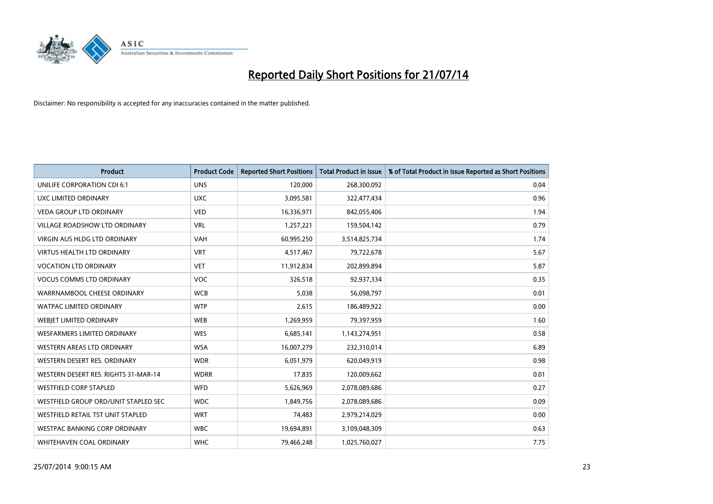

| <b>Product</b>                       | <b>Product Code</b> | <b>Reported Short Positions</b> | <b>Total Product in Issue</b> | % of Total Product in Issue Reported as Short Positions |
|--------------------------------------|---------------------|---------------------------------|-------------------------------|---------------------------------------------------------|
| UNILIFE CORPORATION CDI 6:1          | <b>UNS</b>          | 120,000                         | 268,300,092                   | 0.04                                                    |
| UXC LIMITED ORDINARY                 | <b>UXC</b>          | 3,095,581                       | 322,477,434                   | 0.96                                                    |
| <b>VEDA GROUP LTD ORDINARY</b>       | <b>VED</b>          | 16,336,971                      | 842,055,406                   | 1.94                                                    |
| <b>VILLAGE ROADSHOW LTD ORDINARY</b> | <b>VRL</b>          | 1,257,221                       | 159,504,142                   | 0.79                                                    |
| <b>VIRGIN AUS HLDG LTD ORDINARY</b>  | VAH                 | 60,995,250                      | 3,514,825,734                 | 1.74                                                    |
| <b>VIRTUS HEALTH LTD ORDINARY</b>    | <b>VRT</b>          | 4,517,467                       | 79,722,678                    | 5.67                                                    |
| <b>VOCATION LTD ORDINARY</b>         | <b>VET</b>          | 11,912,834                      | 202,899,894                   | 5.87                                                    |
| <b>VOCUS COMMS LTD ORDINARY</b>      | VOC                 | 326,518                         | 92,937,334                    | 0.35                                                    |
| WARRNAMBOOL CHEESE ORDINARY          | <b>WCB</b>          | 5,038                           | 56,098,797                    | 0.01                                                    |
| <b>WATPAC LIMITED ORDINARY</b>       | <b>WTP</b>          | 2,615                           | 186,489,922                   | 0.00                                                    |
| WEBIET LIMITED ORDINARY              | <b>WEB</b>          | 1,269,959                       | 79,397,959                    | 1.60                                                    |
| <b>WESFARMERS LIMITED ORDINARY</b>   | <b>WES</b>          | 6,685,141                       | 1,143,274,951                 | 0.58                                                    |
| <b>WESTERN AREAS LTD ORDINARY</b>    | <b>WSA</b>          | 16,007,279                      | 232,310,014                   | 6.89                                                    |
| WESTERN DESERT RES. ORDINARY         | <b>WDR</b>          | 6,051,979                       | 620,049,919                   | 0.98                                                    |
| WESTERN DESERT RES. RIGHTS 31-MAR-14 | <b>WDRR</b>         | 17,835                          | 120,009,662                   | 0.01                                                    |
| <b>WESTFIELD CORP STAPLED</b>        | WFD                 | 5,626,969                       | 2,078,089,686                 | 0.27                                                    |
| WESTFIELD GROUP ORD/UNIT STAPLED SEC | <b>WDC</b>          | 1,849,756                       | 2,078,089,686                 | 0.09                                                    |
| WESTFIELD RETAIL TST UNIT STAPLED    | <b>WRT</b>          | 74,483                          | 2,979,214,029                 | 0.00                                                    |
| WESTPAC BANKING CORP ORDINARY        | <b>WBC</b>          | 19,694,891                      | 3,109,048,309                 | 0.63                                                    |
| WHITEHAVEN COAL ORDINARY             | <b>WHC</b>          | 79,466,248                      | 1,025,760,027                 | 7.75                                                    |